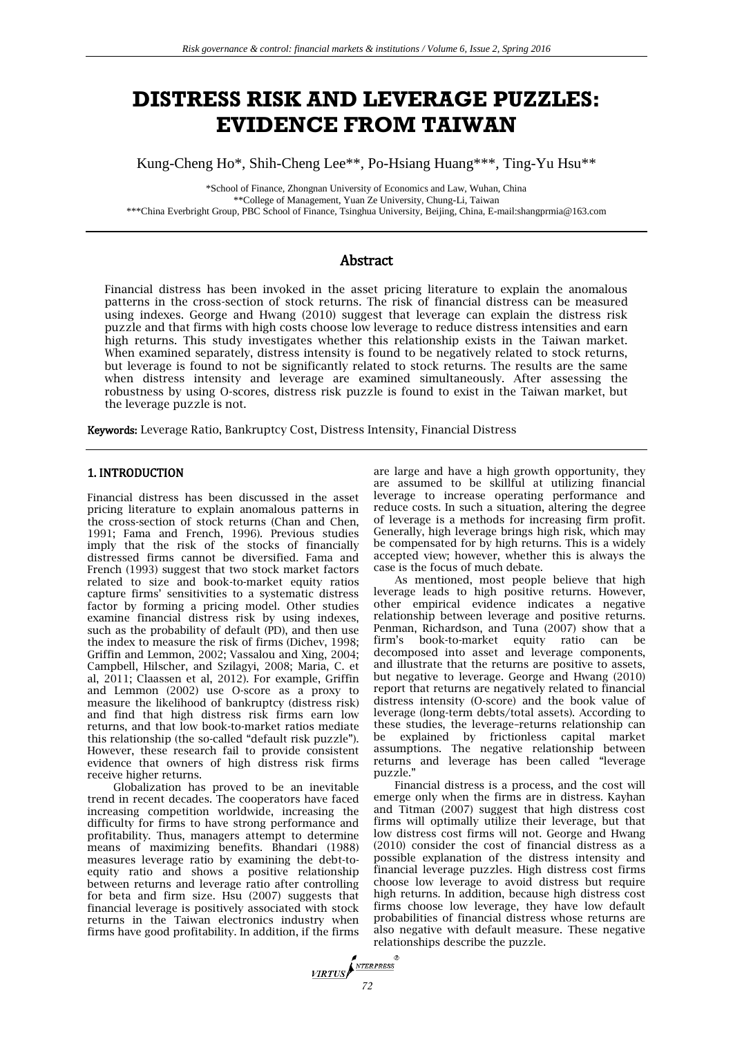# **DISTRESS RISK AND LEVERAGE PUZZLES: EVIDENCE FROM TAIWAN**

Kung-Cheng Ho\*, Shih-Cheng Lee\*\*, Po-Hsiang Huang\*\*\*, Ting-Yu Hsu\*\*

\*School of Finance, Zhongnan University of Economics and Law, Wuhan, China \*\*College of Management, Yuan Ze University, Chung-Li, Taiwan \*\*\*China Everbright Group, PBC School of Finance, Tsinghua University, Beijing, China, E-mai[l:shangprmia@163.com](mailto:shangprmia@163.com)

## Abstract

Financial distress has been invoked in the asset pricing literature to explain the anomalous patterns in the cross-section of stock returns. The risk of financial distress can be measured using indexes. George and Hwang (2010) suggest that leverage can explain the distress risk puzzle and that firms with high costs choose low leverage to reduce distress intensities and earn high returns. This study investigates whether this relationship exists in the Taiwan market. When examined separately, distress intensity is found to be negatively related to stock returns, but leverage is found to not be significantly related to stock returns. The results are the same when distress intensity and leverage are examined simultaneously. After assessing the robustness by using O-scores, distress risk puzzle is found to exist in the Taiwan market, but the leverage puzzle is not.

Keywords: Leverage Ratio, Bankruptcy Cost, Distress Intensity, Financial Distress

## 1. INTRODUCTION

Financial distress has been discussed in the asset pricing literature to explain anomalous patterns in the cross-section of stock returns (Chan and Chen, 1991; Fama and French, 1996). Previous studies imply that the risk of the stocks of financially distressed firms cannot be diversified. Fama and French (1993) suggest that two stock market factors related to size and book-to-market equity ratios capture firms' sensitivities to a systematic distress factor by forming a pricing model. Other studies examine financial distress risk by using indexes, such as the probability of default (PD), and then use the index to measure the risk of firms (Dichev, 1998; Griffin and Lemmon, 2002; Vassalou and Xing, 2004; Campbell, Hilscher, and Szilagyi, 2008; Maria, C. et al, 2011; Claassen et al, 2012). For example, Griffin and Lemmon (2002) use O-score as a proxy to measure the likelihood of bankruptcy (distress risk) and find that high distress risk firms earn low returns, and that low book-to-market ratios mediate this relationship (the so-called "default risk puzzle"). However, these research fail to provide consistent evidence that owners of high distress risk firms receive higher returns.

Globalization has proved to be an inevitable trend in recent decades. The cooperators have faced increasing competition worldwide, increasing the difficulty for firms to have strong performance and profitability. Thus, managers attempt to determine means of maximizing benefits. Bhandari (1988) measures leverage ratio by examining the debt-toequity ratio and shows a positive relationship between returns and leverage ratio after controlling for beta and firm size. Hsu (2007) suggests that financial leverage is positively associated with stock returns in the Taiwan electronics industry when firms have good profitability. In addition, if the firms

are large and have a high growth opportunity, they are assumed to be skillful at utilizing financial leverage to increase operating performance and reduce costs. In such a situation, altering the degree of leverage is a methods for increasing firm profit. Generally, high leverage brings high risk, which may be compensated for by high returns. This is a widely accepted view; however, whether this is always the case is the focus of much debate.

As mentioned, most people believe that high leverage leads to high positive returns. However, other empirical evidence indicates a negative relationship between leverage and positive returns. Penman, Richardson, and Tuna (2007) show that a firm's book-to-market equity ratio can be decomposed into asset and leverage components, and illustrate that the returns are positive to assets, but negative to leverage. George and Hwang (2010) report that returns are negatively related to financial distress intensity (O-score) and the book value of leverage (long-term debts/total assets). According to these studies, the leverage–returns relationship can be explained by frictionless capital market assumptions. The negative relationship between returns and leverage has been called "leverage puzzle."

Financial distress is a process, and the cost will emerge only when the firms are in distress. Kayhan and Titman (2007) suggest that high distress cost firms will optimally utilize their leverage, but that low distress cost firms will not. George and Hwang (2010) consider the cost of financial distress as a possible explanation of the distress intensity and financial leverage puzzles. High distress cost firms choose low leverage to avoid distress but require high returns. In addition, because high distress cost firms choose low leverage, they have low default probabilities of financial distress whose returns are also negative with default measure. These negative relationships describe the puzzle.

*VIRTUS*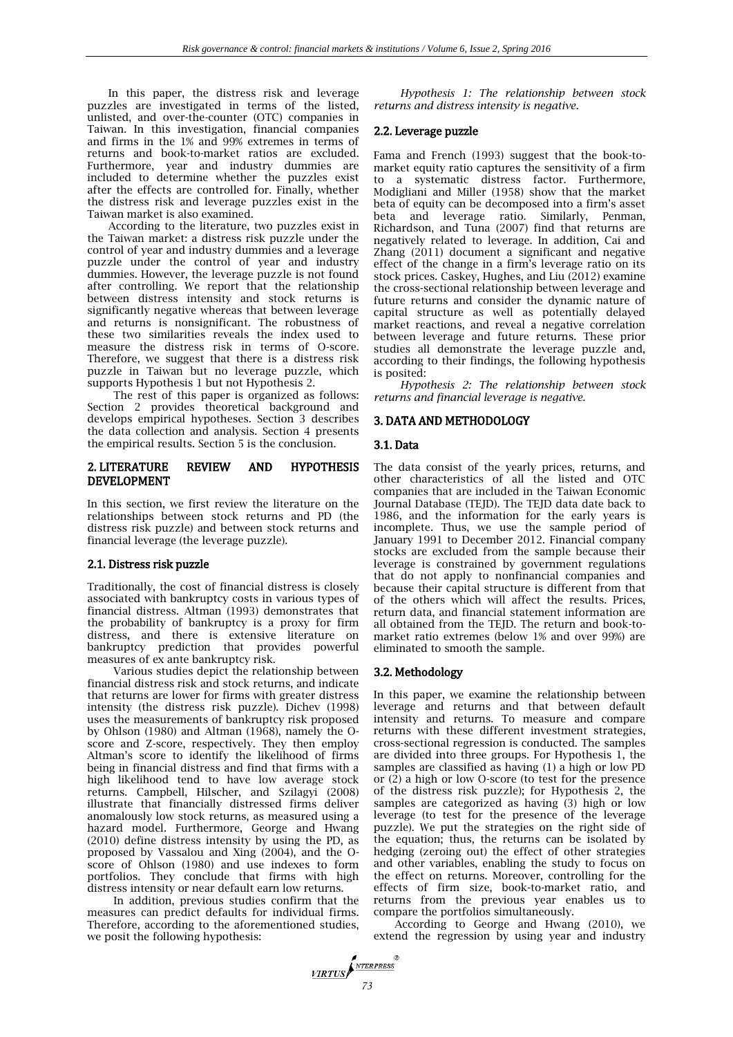In this paper, the distress risk and leverage puzzles are investigated in terms of the listed, unlisted, and over-the-counter (OTC) companies in Taiwan. In this investigation, financial companies and firms in the 1% and 99% extremes in terms of returns and book-to-market ratios are excluded. Furthermore, year and industry dummies are included to determine whether the puzzles exist after the effects are controlled for. Finally, whether the distress risk and leverage puzzles exist in the Taiwan market is also examined.

According to the literature, two puzzles exist in the Taiwan market: a distress risk puzzle under the control of year and industry dummies and a leverage puzzle under the control of year and industry dummies. However, the leverage puzzle is not found after controlling. We report that the relationship between distress intensity and stock returns is significantly negative whereas that between leverage and returns is nonsignificant. The robustness of these two similarities reveals the index used to measure the distress risk in terms of O-score. Therefore, we suggest that there is a distress risk puzzle in Taiwan but no leverage puzzle, which supports Hypothesis 1 but not Hypothesis 2.

The rest of this paper is organized as follows: Section 2 provides theoretical background and develops empirical hypotheses. Section 3 describes the data collection and analysis. Section 4 presents the empirical results. Section 5 is the conclusion.

## 2. LITERATURE REVIEW AND HYPOTHESIS DEVELOPMENT

In this section, we first review the literature on the relationships between stock returns and PD (the distress risk puzzle) and between stock returns and financial leverage (the leverage puzzle).

#### 2.1. Distress risk puzzle

Traditionally, the cost of financial distress is closely associated with bankruptcy costs in various types of financial distress. Altman (1993) demonstrates that the probability of bankruptcy is a proxy for firm distress, and there is extensive literature on bankruptcy prediction that provides powerful measures of ex ante bankruptcy risk.

Various studies depict the relationship between financial distress risk and stock returns, and indicate that returns are lower for firms with greater distress intensity (the distress risk puzzle). Dichev (1998) uses the measurements of bankruptcy risk proposed by Ohlson (1980) and Altman (1968), namely the Oscore and Z-score, respectively. They then employ Altman's score to identify the likelihood of firms being in financial distress and find that firms with a high likelihood tend to have low average stock returns. Campbell, Hilscher, and Szilagyi (2008) illustrate that financially distressed firms deliver anomalously low stock returns, as measured using a hazard model. Furthermore, George and Hwang (2010) define distress intensity by using the PD, as proposed by Vassalou and Xing (2004), and the Oscore of Ohlson (1980) and use indexes to form portfolios. They conclude that firms with high distress intensity or near default earn low returns.

In addition, previous studies confirm that the measures can predict defaults for individual firms. Therefore, according to the aforementioned studies, we posit the following hypothesis:

*Hypothesis 1: The relationship between stock returns and distress intensity is negative.*

## 2.2. Leverage puzzle

Fama and French (1993) suggest that the book-tomarket equity ratio captures the sensitivity of a firm to a systematic distress factor. Furthermore, Modigliani and Miller (1958) show that the market beta of equity can be decomposed into a firm's asset beta and leverage ratio. Similarly, Penman, Richardson, and Tuna (2007) find that returns are negatively related to leverage. In addition, Cai and Zhang (2011) document a significant and negative effect of the change in a firm's leverage ratio on its stock prices. Caskey, Hughes, and Liu (2012) examine the cross-sectional relationship between leverage and future returns and consider the dynamic nature of capital structure as well as potentially delayed market reactions, and reveal a negative correlation between leverage and future returns. These prior studies all demonstrate the leverage puzzle and, according to their findings, the following hypothesis is posited:

*Hypothesis 2: The relationship between stock returns and financial leverage is negative.*

## 3. DATA AND METHODOLOGY

## 3.1. Data

The data consist of the yearly prices, returns, and other characteristics of all the listed and OTC companies that are included in the Taiwan Economic Journal Database (TEJD). The TEJD data date back to 1986, and the information for the early years is incomplete. Thus, we use the sample period of January 1991 to December 2012. Financial company stocks are excluded from the sample because their leverage is constrained by government regulations that do not apply to nonfinancial companies and because their capital structure is different from that of the others which will affect the results. Prices, return data, and financial statement information are all obtained from the TEJD. The return and book-tomarket ratio extremes (below 1% and over 99%) are eliminated to smooth the sample.

## 3.2. Methodology

In this paper, we examine the relationship between leverage and returns and that between default intensity and returns. To measure and compare returns with these different investment strategies, cross-sectional regression is conducted. The samples are divided into three groups. For Hypothesis 1, the samples are classified as having (1) a high or low PD or (2) a high or low O-score (to test for the presence of the distress risk puzzle); for Hypothesis 2, the samples are categorized as having (3) high or low leverage (to test for the presence of the leverage puzzle). We put the strategies on the right side of the equation; thus, the returns can be isolated by hedging (zeroing out) the effect of other strategies and other variables, enabling the study to focus on the effect on returns. Moreover, controlling for the effects of firm size, book-to-market ratio, and returns from the previous year enables us to compare the portfolios simultaneously.

According to George and Hwang (2010), we extend the regression by using year and industry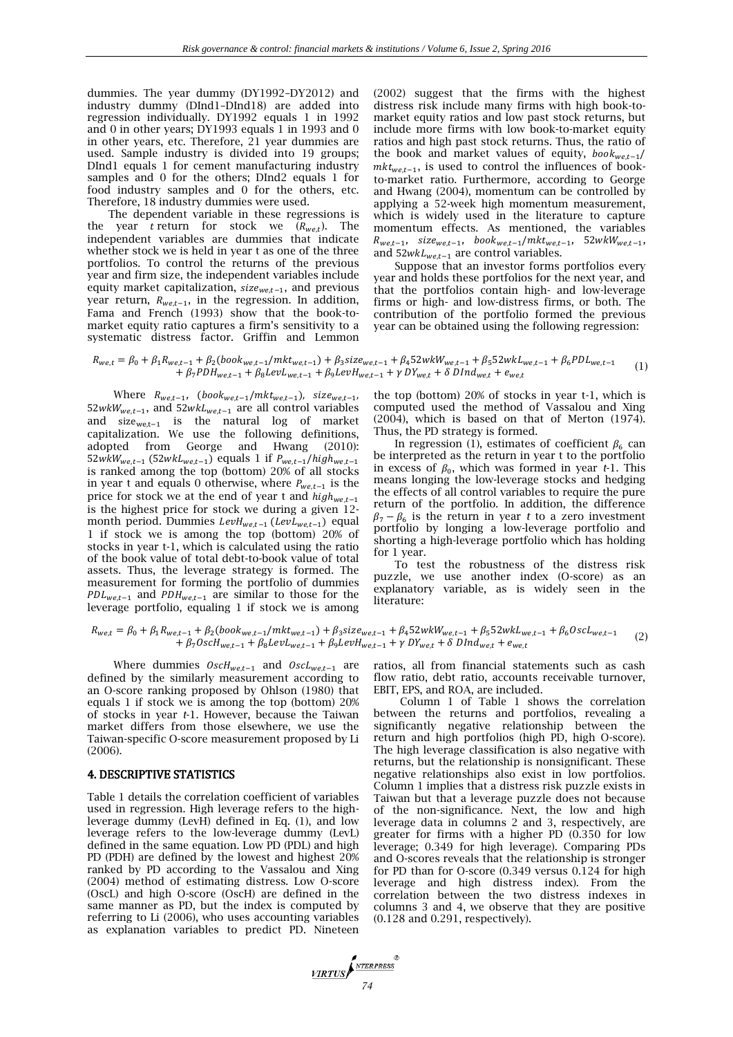dummies. The year dummy (DY1992–DY2012) and industry dummy (DInd1–DInd18) are added into regression individually. DY1992 equals 1 in 1992 and 0 in other years; DY1993 equals 1 in 1993 and 0 in other years, etc. Therefore, 21 year dummies are used. Sample industry is divided into 19 groups; DInd1 equals 1 for cement manufacturing industry samples and 0 for the others; DInd2 equals 1 for food industry samples and 0 for the others, etc. Therefore, 18 industry dummies were used.

The dependent variable in these regressions is the year *t*-return for stock we  $(R_{we,t})$ . The independent variables are dummies that indicate whether stock we is held in year t as one of the three portfolios. To control the returns of the previous year and firm size, the independent variables include equity market capitalization,  $size_{we,t-1}$ , and previous year return,  $R_{we,t-1}$ , in the regression. In addition, Fama and French (1993) show that the book-tomarket equity ratio captures a firm's sensitivity to a systematic distress factor. Griffin and Lemmon

(2002) suggest that the firms with the highest distress risk include many firms with high book-tomarket equity ratios and low past stock returns, but include more firms with low book-to-market equity ratios and high past stock returns. Thus, the ratio of the book and market values of equity,  $book_{we,t-1}$ /  $mkt_{we,t-1}$ , is used to control the influences of bookto-market ratio. Furthermore, according to George and Hwang (2004), momentum can be controlled by applying a 52-week high momentum measurement, which is widely used in the literature to capture momentum effects. As mentioned, the variables  $R_{we,t-1}$ , size<sub>we,t-1</sub>, book<sub>we,t-1</sub>/mkt<sub>we,t-1</sub>, 52wkW<sub>we,t-1</sub>, and  $52wkL_{we,t-1}$  are control variables.

Suppose that an investor forms portfolios every year and holds these portfolios for the next year, and that the portfolios contain high- and low-leverage firms or high- and low-distress firms, or both. The contribution of the portfolio formed the previous year can be obtained using the following regression:

 $R_{we,t} = \beta_0 + \beta_1 R_{we,t-1} + \beta_2 (book_{we,t-1}/mkt_{we,t-1}) + \beta_3 size_{we,t-1} + \beta_4 52 w k W_{we,t-1} + \beta_5 52 w k L_{we,t-1} + \beta_6 P D L_{we,t-1}$  $+ \beta_7 P D H_{w e t-1} + \beta_8 L e v L_{w e t-1} + \beta_9 L e v H_{w e t-1} + \gamma D Y_{w e t} + \delta D I n d_{w e t} + e_{w e t}$ (1)

Where  $R_{we,t-1}$ ,  $(book_{we,t-1}/mkt_{we,t-1})$ ,  $size_{we,t-1}$ ,  $52wkW_{we,t-1}$ , and  $52wkL_{we,t-1}$  are all control variables and  ${\sf size}_{\sf we,t-1}$  is the natural log of market capitalization. We use the following definitions, adopted from George and Hwang (2010):  $52wkW_{we,t-1}$  ( $52wkL_{we,t-1}$ ) equals 1 if  $P_{we,t-1}/high_{we,t-1}$ is ranked among the top (bottom) 20% of all stocks in year t and equals 0 otherwise, where  $P_{we,t-1}$  is the price for stock we at the end of year t and  $high_{w_{e,t-1}}$ is the highest price for stock we during a given 12 month period. Dummies  $LevH_{we,t-1}$  ( $LevL_{we,t-1}$ ) equal 1 if stock we is among the top (bottom) 20% of stocks in year t-1, which is calculated using the ratio of the book value of total debt-to-book value of total assets. Thus, the leverage strategy is formed. The measurement for forming the portfolio of dummies  $PDL_{we,t-1}$  and  $PDH_{we,t-1}$  are similar to those for the leverage portfolio, equaling 1 if stock we is among

the top (bottom) 20% of stocks in year t-1, which is computed used the method of Vassalou and Xing (2004), which is based on that of Merton (1974). Thus, the PD strategy is formed.

In regression (1), estimates of coefficient  $\beta_6$  can be interpreted as the return in year t to the portfolio in excess of  $\beta_0$ , which was formed in year *t*-1. This means longing the low-leverage stocks and hedging the effects of all control variables to require the pure return of the portfolio. In addition, the difference  $\beta_7 - \beta_6$  is the return in year *t* to a zero investment portfolio by longing a low-leverage portfolio and shorting a high-leverage portfolio which has holding for 1 year.

To test the robustness of the distress risk puzzle, we use another index (O-score) as an explanatory variable, as is widely seen in the literature:

$$
R_{we,t} = \beta_0 + \beta_1 R_{we,t-1} + \beta_2 (book_{we,t-1}/mkt_{we,t-1}) + \beta_3 size_{we,t-1} + \beta_4 52wkW_{we,t-1} + \beta_5 52wkL_{we,t-1} + \beta_6 0scL_{we,t-1} + \beta_7 0scH_{we,t-1} + \beta_8 LevL_{we,t-1} + \beta_9 LevH_{we,t-1} + \gamma DY_{we,t} + \delta DInd_{we,t} + e_{we,t}
$$
\n(2)

Where dummies  $0scH_{we,t-1}$  and  $0scL_{we,t-1}$  are defined by the similarly measurement according to an O-score ranking proposed by Ohlson (1980) that equals 1 if stock we is among the top (bottom) 20% of stocks in year *t*-1. However, because the Taiwan market differs from those elsewhere, we use the Taiwan-specific O-score measurement proposed by Li (2006).

## 4. DESCRIPTIVE STATISTICS

Table 1 details the correlation coefficient of variables used in regression. High leverage refers to the highleverage dummy (LevH) defined in Eq. (1), and low leverage refers to the low-leverage dummy (LevL) defined in the same equation. Low PD (PDL) and high PD (PDH) are defined by the lowest and highest 20% ranked by PD according to the Vassalou and Xing (2004) method of estimating distress. Low O-score (OscL) and high O-score (OscH) are defined in the same manner as PD, but the index is computed by referring to Li (2006), who uses accounting variables as explanation variables to predict PD. Nineteen ratios, all from financial statements such as cash flow ratio, debt ratio, accounts receivable turnover, EBIT, EPS, and ROA, are included.

Column 1 of Table 1 shows the correlation between the returns and portfolios, revealing a significantly negative relationship between the return and high portfolios (high PD, high O-score). The high leverage classification is also negative with returns, but the relationship is nonsignificant. These negative relationships also exist in low portfolios. Column 1 implies that a distress risk puzzle exists in Taiwan but that a leverage puzzle does not because of the non-significance. Next, the low and high leverage data in columns 2 and 3, respectively, are greater for firms with a higher PD (0.350 for low leverage; 0.349 for high leverage). Comparing PDs and O-scores reveals that the relationship is stronger for PD than for O-score (0.349 versus 0.124 for high leverage and high distress index). From the correlation between the two distress indexes in columns 3 and 4, we observe that they are positive (0.128 and 0.291, respectively).

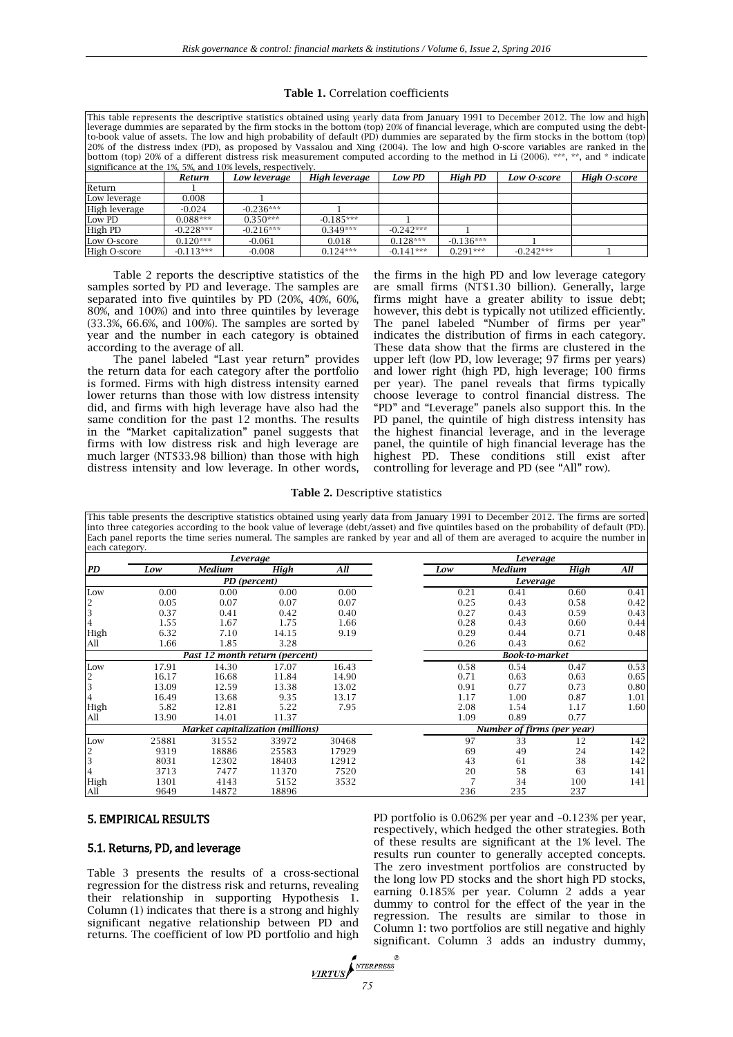| leverage dummies are separated by the firm stocks in the bottom (top) 20% of financial leverage, which are computed using the debt- |             |              |               |             |                |             |              |  |  |  |  |  |
|-------------------------------------------------------------------------------------------------------------------------------------|-------------|--------------|---------------|-------------|----------------|-------------|--------------|--|--|--|--|--|
| to-book value of assets. The low and high probability of default (PD) dummies are separated by the firm stocks in the bottom (top)  |             |              |               |             |                |             |              |  |  |  |  |  |
| [20% of the distress index (PD), as proposed by Vassalou and Xing (2004). The low and high O-score variables are ranked in the      |             |              |               |             |                |             |              |  |  |  |  |  |
| bottom (top) 20% of a different distress risk measurement computed according to the method in Li (2006). ***, **, and * indicate    |             |              |               |             |                |             |              |  |  |  |  |  |
| significance at the 1% 5% and 10% levels, respectively.                                                                             |             |              |               |             |                |             |              |  |  |  |  |  |
|                                                                                                                                     | Return      | Low leverage | High leverage | Low PD      | <b>High PD</b> | Low O-score | High O-score |  |  |  |  |  |
| Return                                                                                                                              |             |              |               |             |                |             |              |  |  |  |  |  |
| Low leverage                                                                                                                        | 0.008       |              |               |             |                |             |              |  |  |  |  |  |
| High leverage                                                                                                                       | $-0.024$    | $-0.236***$  |               |             |                |             |              |  |  |  |  |  |
| Low PD                                                                                                                              | $0.088***$  | $0.350***$   | $-0.185***$   |             |                |             |              |  |  |  |  |  |
| High PD                                                                                                                             | $-0.228***$ | $-0.216***$  | $0.349***$    | $-0.242***$ |                |             |              |  |  |  |  |  |
| Low O-score                                                                                                                         | $0.120***$  | $-0.061$     | 0.018         | $0.128***$  | $-0.136***$    |             |              |  |  |  |  |  |
| High O-score                                                                                                                        | $-0.113***$ | $-0.008$     | $0.124***$    | $-0.141***$ | $0.291***$     | $-0.242***$ |              |  |  |  |  |  |

## **Table 1.** Correlation coefficients This table represents the descriptive statistics obtained using yearly data from January 1991 to December 2012. The low and high

Table 2 reports the descriptive statistics of the samples sorted by PD and leverage. The samples are separated into five quintiles by PD (20%, 40%, 60%, 80%, and 100%) and into three quintiles by leverage (33.3%, 66.6%, and 100%). The samples are sorted by year and the number in each category is obtained according to the average of all.

The panel labeled "Last year return" provides the return data for each category after the portfolio is formed. Firms with high distress intensity earned lower returns than those with low distress intensity did, and firms with high leverage have also had the same condition for the past 12 months. The results in the "Market capitalization" panel suggests that firms with low distress risk and high leverage are much larger (NT\$33.98 billion) than those with high distress intensity and low leverage. In other words,

the firms in the high PD and low leverage category are small firms (NT\$1.30 billion). Generally, large firms might have a greater ability to issue debt; however, this debt is typically not utilized efficiently. The panel labeled "Number of firms per year" indicates the distribution of firms in each category. These data show that the firms are clustered in the upper left (low PD, low leverage; 97 firms per years) and lower right (high PD, high leverage; 100 firms per year). The panel reveals that firms typically choose leverage to control financial distress. The "PD" and "Leverage" panels also support this. In the PD panel, the quintile of high distress intensity has the highest financial leverage, and in the leverage panel, the quintile of high financial leverage has the highest PD. These conditions still exist after controlling for leverage and PD (see "All" row).

**Table 2.** Descriptive statistics

This table presents the descriptive statistics obtained using yearly data from January 1991 to December 2012. The firms are sorted into three categories according to the book value of leverage (debt/asset) and five quintiles based on the probability of default (PD). Each panel reports the time series numeral. The samples are ranked by year and all of them are averaged to acquire the number in each category.

| cacii catcgoi y. |       |                                         |       |       |          |                            |      |      |  |  |  |  |
|------------------|-------|-----------------------------------------|-------|-------|----------|----------------------------|------|------|--|--|--|--|
|                  |       | Leverage                                |       |       | Leverage |                            |      |      |  |  |  |  |
| PD               | Low   | <b>Medium</b>                           | High  | All   | Low      | <b>Medium</b>              | High | All  |  |  |  |  |
|                  |       | PD (percent)                            |       |       |          | Leverage                   |      |      |  |  |  |  |
| Low              | 0.00  | 0.00                                    | 0.00  | 0.00  | 0.21     | 0.41                       | 0.60 | 0.41 |  |  |  |  |
|                  | 0.05  | 0.07                                    | 0.07  | 0.07  | 0.25     | 0.43                       | 0.58 | 0.42 |  |  |  |  |
| $\frac{2}{3}$    | 0.37  | 0.41                                    | 0.42  | 0.40  | 0.27     | 0.43                       | 0.59 | 0.43 |  |  |  |  |
| 4                | 1.55  | 1.67                                    | 1.75  | 1.66  | 0.28     | 0.43                       | 0.60 | 0.44 |  |  |  |  |
| High             | 6.32  | 7.10                                    | 14.15 | 9.19  | 0.29     | 0.44                       | 0.71 | 0.48 |  |  |  |  |
| All              | 1.66  | 1.85                                    | 3.28  |       | 0.26     | 0.43                       | 0.62 |      |  |  |  |  |
|                  |       | Past 12 month return (percent)          |       |       |          | <b>Book-to-market</b>      |      |      |  |  |  |  |
| Low              | 17.91 | 14.30                                   | 17.07 | 16.43 | 0.58     | 0.54                       | 0.47 | 0.53 |  |  |  |  |
| 2                | 16.17 | 16.68                                   | 11.84 | 14.90 | 0.71     | 0.63                       | 0.63 | 0.65 |  |  |  |  |
| 3                | 13.09 | 12.59                                   | 13.38 | 13.02 | 0.91     | 0.77                       | 0.73 | 0.80 |  |  |  |  |
| 4                | 16.49 | 13.68                                   | 9.35  | 13.17 | 1.17     | 1.00                       | 0.87 | 1.01 |  |  |  |  |
| High             | 5.82  | 12.81                                   | 5.22  | 7.95  | 2.08     | 1.54                       | 1.17 | 1.60 |  |  |  |  |
| All              | 13.90 | 14.01                                   | 11.37 |       | 1.09     | 0.89                       | 0.77 |      |  |  |  |  |
|                  |       | <b>Market capitalization (millions)</b> |       |       |          | Number of firms (per year) |      |      |  |  |  |  |
| Low              | 25881 | 31552                                   | 33972 | 30468 | 97       | 33                         | 12   | 142  |  |  |  |  |
| 2<br>3           | 9319  | 18886                                   | 25583 | 17929 | 69       | 49                         | 24   | 142  |  |  |  |  |
|                  | 8031  | 12302                                   | 18403 | 12912 | 43       | 61                         | 38   | 142  |  |  |  |  |
| 4                | 3713  | 7477                                    | 11370 | 7520  | 20       | 58                         | 63   | 141  |  |  |  |  |
| High             | 1301  | 4143                                    | 5152  | 3532  |          | 34                         | 100  | 141  |  |  |  |  |
| All              | 9649  | 14872                                   | 18896 |       | 236      | 235                        | 237  |      |  |  |  |  |

## 5. EMPIRICAL RESULTS

## 5.1. Returns, PD, and leverage

Table 3 presents the results of a cross-sectional regression for the distress risk and returns, revealing their relationship in supporting Hypothesis 1. Column (1) indicates that there is a strong and highly significant negative relationship between PD and returns. The coefficient of low PD portfolio and high PD portfolio is 0.062% per year and –0.123% per year, respectively, which hedged the other strategies. Both of these results are significant at the 1% level. The results run counter to generally accepted concepts. The zero investment portfolios are constructed by the long low PD stocks and the short high PD stocks, earning 0.185% per year. Column 2 adds a year dummy to control for the effect of the year in the regression. The results are similar to those in Column 1: two portfolios are still negative and highly significant. Column 3 adds an industry dummy,

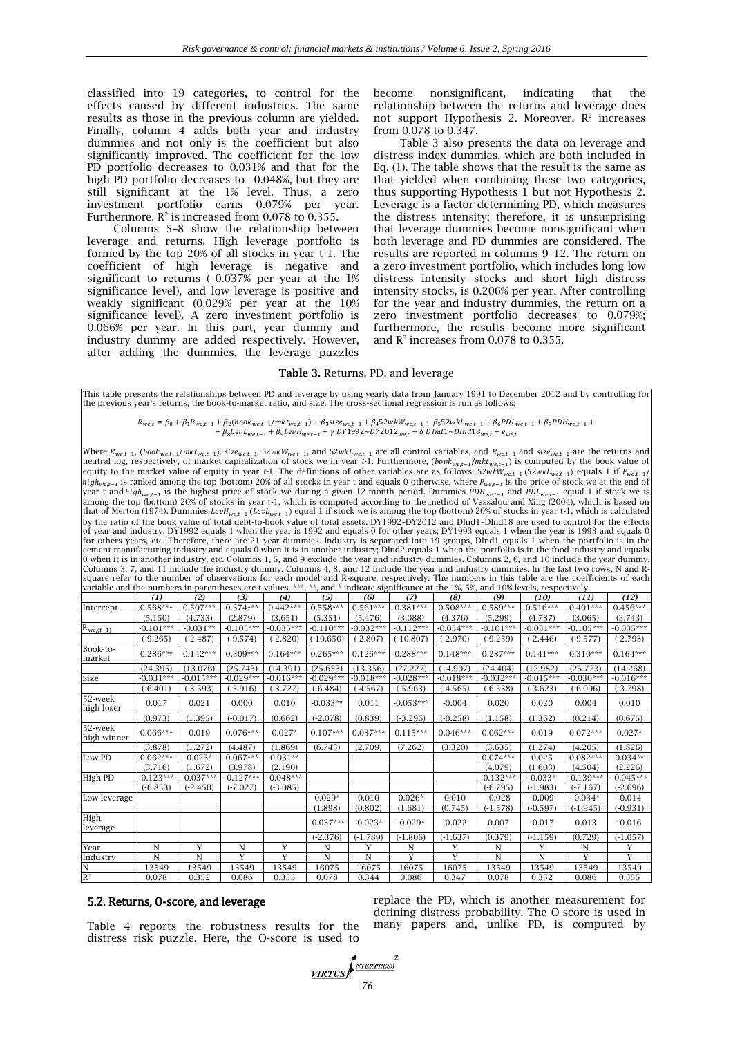classified into 19 categories, to control for the effects caused by different industries. The same results as those in the previous column are yielded. Finally, column 4 adds both year and industry dummies and not only is the coefficient but also significantly improved. The coefficient for the low PD portfolio decreases to 0.031% and that for the high PD portfolio decreases to –0.048%, but they are still significant at the 1% level. Thus, a zero investment portfolio earns 0.079% per year. Furthermore,  $\mathbb{R}^2$  is increased from 0.078 to 0.355.

Columns 5–8 show the relationship between leverage and returns. High leverage portfolio is formed by the top 20% of all stocks in year t-1. The coefficient of high leverage is negative and significant to returns (–0.037% per year at the 1% significance level), and low leverage is positive and weakly significant (0.029% per year at the 10% significance level). A zero investment portfolio is 0.066% per year. In this part, year dummy and industry dummy are added respectively. However, after adding the dummies, the leverage puzzles

become nonsignificant, indicating that the relationship between the returns and leverage does not support Hypothesis 2. Moreover,  $\mathbb{R}^2$  increases from 0.078 to 0.347.

Table 3 also presents the data on leverage and distress index dummies, which are both included in Eq. (1). The table shows that the result is the same as that yielded when combining these two categories, thus supporting Hypothesis 1 but not Hypothesis 2. Leverage is a factor determining PD, which measures the distress intensity; therefore, it is unsurprising that leverage dummies become nonsignificant when both leverage and PD dummies are considered. The results are reported in columns 9–12. The return on a zero investment portfolio, which includes long low distress intensity stocks and short high distress intensity stocks, is 0.206% per year. After controlling for the year and industry dummies, the return on a zero investment portfolio decreases to 0.079%; furthermore, the results become more significant and R 2 increases from 0.078 to 0.355.

#### **Table 3.** Returns, PD, and leverage

This table presents the relationships between PD and leverage by using yearly data from January 1991 to December 2012 and by controlling for the previous year's returns, the book-to-market ratio, and size. The cross-sectional regression is run as follows:

 $R_{we,t} = \beta_0 + \beta_1 R_{we,t-1} + \beta_2 (book_{we,t-1}/mkt_{we,t-1}) +$  $+\beta_8 \text{LevL}_{wet-1} + \beta_9 \text{LevH}_{wet-1} + \gamma \text{DY1992} \sim DY2012_{wet} + \delta \text{DInd1} \sim \text{DInd18}$ 

Where  $R_{w e, t-1}$ , (book<sub>we,t-1</sub>/mkt<sub>we,t-1</sub>), size<sub>we,t-1</sub>, 52wkW<sub>we,t-1</sub>, and 52wkL<sub>we,t-1</sub> are all control variables, and  $R_{w e, t-1}$  and size<sub>we,t-1</sub> are the returns and neutral log, respectively, of market capitalization of stock we in year *t*-1. Furthermore, ( $book_{we,t-1}/mkt_{we,t-1}$ ) is computed by the book value of equity to the market value of equity in year *t-*1. The definitions of other variables are as follows: 52wkW<sub>we,t-1</sub> (52wkL<sub>we,t-1</sub>) equals 1 if  $P_{w_e,t-1}$  $high_{we,t-1}$  is ranked among the top (bottom) 20% of all stocks in year t and equals 0 otherwise, where  $P_{we,t-1}$  is the price of stock we at the end of year t and  $high_{we,t-1}$  is the highest price of stock we during a given 12-month period. Dummies  $PDH_{we,t-1}$  and  $PDL_{we,t-1}$  equal 1 if stock we is among the top (bottom) 20% of stocks in year t-1, which is computed according to the method of Vassalou and Xing (2004), which is based on that of Merton (1974). Dummies  $LevH_{wet-1}$  ( $LevL_{wet-1}$ ) equal 1 if stock we is among the top (bottom) 20% of stocks in year t-1, which is calculated by the ratio of the book value of total debt-to-book value of total assets. DY1992–DY2012 and DInd1–DInd18 are used to control for the effects of year and industry. DY1992 equals 1 when the year is 1992 and equals 0 for other years; DY1993 equals 1 when the year is 1993 and equals 0 for others years, etc. Therefore, there are 21 year dummies. Industry is separated into 19 groups, DInd1 equals 1 when the portfolio is in the<br>cement manufacturing industry and equals 0 when it is in another industry; DInd 0 when it is in another industry, etc. Columns 1, 5, and 9 exclude the year and industry dummies. Columns 2, 6, and 10 include the year dummy. Columns 3, 7, and 11 include the industry dummy. Columns 4, 8, and 12 include the year and industry dummies. In the last two rows, N and Rsquare refer to the number of observations for each model and R-square, respectively. The numbers in this table are the coefficients of each<br>variable and the numbers in parentheses are t values. \*\*\*, \*\*, and \* indicate sig

| variable and the numbers in parentheses are t values. |                  |             |             |             |             |             |             |             | , and a muitate significance at the 170, 970, and 1070 revers, respectively. |             |             |             |  |
|-------------------------------------------------------|------------------|-------------|-------------|-------------|-------------|-------------|-------------|-------------|------------------------------------------------------------------------------|-------------|-------------|-------------|--|
|                                                       | $\left(1\right)$ | (2)         | (3)         | (4)         | (5)         | (6)         | (7)         | (8)         | (9)                                                                          | (10)        | (11)        | (12)        |  |
| Intercept                                             | $0.568***$       | $0.507***$  | $0.374***$  | $0.442***$  | $0.558***$  | $0.561***$  | $0.381***$  | $0.508***$  | $0.589***$                                                                   | $0.516***$  | $0.401***$  | $0.456***$  |  |
|                                                       | (5.150)          | (4.733)     | (2.879)     | (3.651)     | (5.351)     | (5.476)     | (3.088)     | (4.376)     | (5.299)                                                                      | (4.787)     | (3.065)     | (3.743)     |  |
| $\mathrm{R}_{\mathrm{we},(t-1)}$                      | $-0.101***$      | $-0.031**$  | $-0.105***$ | $-0.035***$ | $-0.110***$ | $-0.032***$ | $-0.112***$ | $-0.034***$ | $-0.101***$                                                                  | $-0.031***$ | $-0.105***$ | $-0.035***$ |  |
|                                                       | $(-9.265)$       | $(-2.487)$  | $(-9.574)$  | $(-2.820)$  | $(-10.650)$ | $(-2.807)$  | $(-10.807)$ | $(-2.970)$  | $(-9.259)$                                                                   | $(-2.446)$  | $(-9.577)$  | $(-2.793)$  |  |
| Book-to-<br>market                                    | $0.286***$       | $0.142***$  | $0.309***$  | $0.164***$  | $0.265***$  | $0.126***$  | $0.288***$  | $0.148***$  | $0.287***$                                                                   | $0.141***$  | $0.310***$  | $0.164***$  |  |
|                                                       | (24.395)         | (13.076)    | (25.743)    | (14.391)    | (25.653)    | (13.356)    | (27.227)    | (14.907)    | (24.404)                                                                     | (12.982)    | (25.773)    | (14.268)    |  |
| Size                                                  | $-0.031***$      | $-0.015***$ | $-0.029***$ | $-0.016***$ | $-0.029***$ | $-0.018***$ | $-0.028***$ | $-0.018***$ | $-0.032***$                                                                  | $-0.015***$ | $-0.030***$ | $-0.016***$ |  |
|                                                       | $(-6.401)$       | $(-3.593)$  | $(-5.916)$  | $(-3.727)$  | $(-6.484)$  | $(-4.567)$  | $(-5.963)$  | $(-4.565)$  | $(-6.538)$                                                                   | $(-3.623)$  | $(-6.096)$  | $(-3.798)$  |  |
| 52-week<br>high loser                                 | 0.017            | 0.021       | 0.000       | 0.010       | $-0.033**$  | 0.011       | $-0.053***$ | $-0.004$    | 0.020                                                                        | 0.020       | 0.004       | 0.010       |  |
|                                                       | (0.973)          | (1.395)     | $(-0.017)$  | (0.662)     | $(-2.078)$  | (0.839)     | $(-3.296)$  | $(-0.258)$  | (1.158)                                                                      | (1.362)     | (0.214)     | (0.675)     |  |
| 52-week<br>high winner                                | $0.066***$       | 0.019       | $0.076***$  | $0.027*$    | $0.107***$  | $0.037***$  | $0.115***$  | $0.046***$  | $0.062***$                                                                   | 0.019       | $0.072***$  | $0.027*$    |  |
|                                                       | (3.878)          | (1.272)     | (4.487)     | (1.869)     | (6.743)     | (2.709)     | (7.262)     | (3.320)     | (3.635)                                                                      | (1.274)     | (4.205)     | (1.826)     |  |
| Low PD                                                | $0.062***$       | $0.023*$    | $0.067***$  | $0.031**$   |             |             |             |             | $0.074***$                                                                   | 0.025       | $0.082***$  | $0.034**$   |  |
|                                                       | (3.716)          | (1.672)     | (3.978)     | (2.190)     |             |             |             |             | (4.079)                                                                      | (1.603)     | (4.504)     | (2.226)     |  |
| High PD                                               | $-0.123***$      | $-0.037***$ | $-0.127***$ | $-0.048***$ |             |             |             |             | $-0.132***$                                                                  | $-0.033*$   | $-0.139***$ | $-0.045***$ |  |
|                                                       | $(-6.853)$       | $(-2.450)$  | $(-7.027)$  | $(-3.085)$  |             |             |             |             | $(-6.795)$                                                                   | $(-1.983)$  | $(-7.167)$  | $(-2.696)$  |  |
| Low leverage                                          |                  |             |             |             | $0.029*$    | 0.010       | $0.026*$    | 0.010       | $-0.028$                                                                     | $-0.009$    | $-0.034*$   | $-0.014$    |  |
|                                                       |                  |             |             |             | (1.898)     | (0.802)     | (1.681)     | (0.745)     | $(-1.578)$                                                                   | $(-0.597)$  | $(-1.945)$  | $(-0.931)$  |  |
| High<br>leverage                                      |                  |             |             |             | $-0.037***$ | $-0.023*$   | $-0.029*$   | $-0.022$    | 0.007                                                                        | $-0.017$    | 0.013       | $-0.016$    |  |
|                                                       |                  |             |             |             | $(-2.376)$  | $(-1.789)$  | $(-1.806)$  | $(-1.637)$  | (0.379)                                                                      | $(-1.159)$  | (0.729)     | $(-1.057)$  |  |
| Year                                                  | N                | Y           | N           | Y           | N           | Y           | N           | Y           | N                                                                            | Y           | N           | Y           |  |
| Industry                                              | N                | N           | Y           | Y           | N           | N           | Y           | Y           | N                                                                            | N           | Y           | Y           |  |
| $\frac{N}{R^2}$                                       | 13549            | 13549       | 13549       | 13549       | 16075       | 16075       | 16075       | 16075       | 13549                                                                        | 13549       | 13549       | 13549       |  |
|                                                       | 0.078            | 0.352       | 0.086       | 0.355       | 0.078       | 0.344       | 0.086       | 0.347       | 0.078                                                                        | 0.352       | 0.086       | 0.355       |  |

#### 5.2. Returns, O-score, and leverage

Table 4 reports the robustness results for the distress risk puzzle. Here, the O-score is used to

replace the PD, which is another measurement for defining distress probability. The O-score is used in many papers and, unlike PD, is computed by

*VIRTUS*<sup>NTERPRESS<sup>®</sup></sup>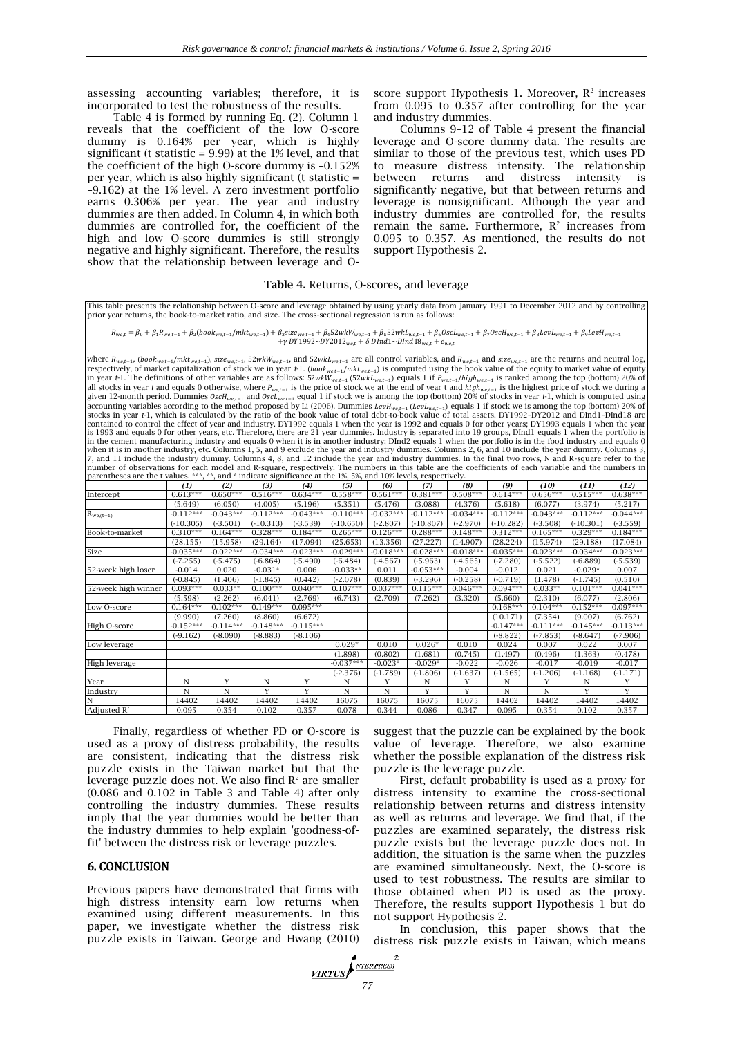assessing accounting variables; therefore, it is incorporated to test the robustness of the results.

Table 4 is formed by running Eq. (2). Column 1 reveals that the coefficient of the low O-score dummy is 0.164% per year, which is highly significant (t statistic  $= 9.99$ ) at the 1% level, and that the coefficient of the high O-score dummy is –0.152% per year, which is also highly significant (t statistic = –9.162) at the 1% level. A zero investment portfolio earns 0.306% per year. The year and industry dummies are then added. In Column 4, in which both dummies are controlled for, the coefficient of the high and low O-score dummies is still strongly negative and highly significant. Therefore, the results show that the relationship between leverage and O-

score support Hypothesis 1. Moreover,  $\mathbb{R}^2$  increases from 0.095 to 0.357 after controlling for the year and industry dummies.

Columns 9–12 of Table 4 present the financial leverage and O-score dummy data. The results are similar to those of the previous test, which uses PD to measure distress intensity. The relationship between returns and distress intensity is significantly negative, but that between returns and leverage is nonsignificant. Although the year and industry dummies are controlled for, the results remain the same. Furthermore,  $\mathbb{R}^2$  increases from 0.095 to 0.357. As mentioned, the results do not support Hypothesis 2.

#### **Table 4.** Returns, O-scores, and leverage

This table presents the relationship between O-score and leverage obtained by using yearly data from January 1991 to December 2012 and by controlling<br>prior year returns, the book-to-market ratio, and size. The cross-sectio

 $R_{w e, t} = \beta_0 + \beta_1 R_{w e, t-1} + \beta_2 (book_{w e, t-1}/mkt_{w e, t-1}) + \beta_3 size_{w e, t-1} + \beta_4 52 wkW_{w e, t-1} + \beta_5 52 wkL_{w e, t-1} + \beta_6 0 scL_{w e, t-1} + \beta_7 0 scH_{w e, t-1} + \beta_8 1 e vL_{w e, t-1} + \beta_9 1 e vL_{w e, t-1}$ +*y* DY1992~DY2012<sub>we,t</sub> +  $\delta$  DInd1~DInd18<sub>we,t</sub> +  $e_{we}$ 

where  $R_{wet-1}$ , (book<sub>wet-1</sub>/mkt<sub>wet-1</sub>), size<sub>wet-1</sub>, 52wkW<sub>wet-1</sub>, and 52wkL<sub>wet-1</sub> are all control variables, and  $R_{wet-1}$  and size<sub>wet-1</sub> are the returns and neutral log, respectively, of market capitalization of stock we in year *t*-1. (book<sub>wat-1</sub>/mkt<sub>wat-1</sub>) is computed using the book value of the equity to market value of equity<br>in year *t*-1. The definitions of other variables are as f given 12-month period. Dummies  $\delta s c H_{w e, t-1}$  and  $\delta s c L_{w e, t-1}$  equal 1 if stock we is among the top (bottom) 20% of stocks in year *t*-1, which is computed using accounting variables according to the method proposed by Li (2006). Dummies LevH<sub>we.t–1</sub> (LevL<sub>we.t–1</sub>) equals 1 if stock we is among the top (bottom) 20% of<br>stocks in year t-1, which is calculated by the ratio of the book contained to control the effect of year and industry. DY1992 equals 1 when the year is 1992 and equals 0 for other years; DY1993 equals 1 when the year<br>is 1993 and equals 0 for other years, etc. Therefore, there are 21 yea in the cement manufacturing industry and equals 0 when it is in another industry; DInd2 equals 1 when the portfolio is in the food industry and equals 0<br>when it is in another industry, etc. Columns 1, 5, and 9 exclude the 7, and 11 include the industry dummy. Columns 4, 8, and 12 include the year and industry dummies. In the final two rows, N and R-square refer to the<br>number of observations for each model and R-square, respectively. The num parentheses are the t values. \*\*\*, \*\*, and \* indicate significance at the 1%, 5%, and 10% levels, respectively.

|                         | (1)         | (2)         | (3)         | (4)         | (5)         | (6)         | (7)         | (8)         | (9)         | (10)        | (11)        | (12)        |
|-------------------------|-------------|-------------|-------------|-------------|-------------|-------------|-------------|-------------|-------------|-------------|-------------|-------------|
| Intercept               | $0.613***$  | $0.650***$  | $0.516***$  | $0.634***$  | $0.558***$  | $0.561***$  | $0.381***$  | $0.508***$  | $0.614***$  | $0.656***$  | $0.515***$  | $0.638***$  |
|                         | (5.649)     | (6.050)     | (4.005)     | (5.196)     | (5.351)     | (5.476)     | (3.088)     | (4.376)     | (5.618)     | (6.077)     | (3.974)     | (5.217)     |
| $\rm R_{we,(t-1)}$      | $-0.112***$ | $-0.043***$ | $-0.112***$ | $-0.043***$ | $-0.110***$ | $-0.032***$ | $-0.112***$ | $-0.034***$ | $-0.112***$ | $-0.043***$ | $-0.112***$ | $-0.044***$ |
|                         | $(-10.305)$ | $(-3.501)$  | $(-10.313)$ | $(-3.539)$  | $(-10.650)$ | $(-2.807)$  | $(-10.807)$ | $(-2.970)$  | $(-10.282)$ | $(-3.508)$  | $(-10.301)$ | $(-3.559)$  |
| Book-to-market          | $0.310***$  | $0.164***$  | $0.328***$  | $0.184***$  | $0.265***$  | $0.126***$  | $0.288***$  | $0.148***$  | $0.312***$  | $0.165***$  | $0.329***$  | $0.184***$  |
|                         | (28.155)    | (15.958)    | (29.164)    | (17.094)    | (25.653)    | (13.356)    | (27.227)    | (14.907)    | (28.224)    | (15.974)    | (29.188)    | (17.084)    |
| Size                    | $-0.035***$ | $-0.022***$ | $-0.034***$ | $-0.023***$ | $-0.029***$ | $-0.018***$ | $-0.028***$ | $-0.018***$ | $-0.035***$ | $-0.023***$ | $-0.034***$ | $-0.023***$ |
|                         | $(-7.255)$  | $(-5.475)$  | $(-6.864)$  | $(-5.490)$  | $(-6.484)$  | $(-4.567)$  | $(-5.963)$  | $(-4.565)$  | $(-7.280)$  | $(-5.522)$  | $(-6.889)$  | $(-5.539)$  |
| 52-week high loser      | $-0.014$    | 0.020       | $-0.031*$   | 0.006       | $-0.033**$  | 0.011       | $-0.053***$ | $-0.004$    | $-0.012$    | 0.021       | $-0.029*$   | 0.007       |
|                         | $(-0.845)$  | (1.406)     | $(-1.845)$  | (0.442)     | $(-2.078)$  | (0.839)     | $(-3.296)$  | $(-0.258)$  | $-0.719$    | (1.478)     | $(-1.745)$  | (0.510)     |
| 52-week high winner     | $0.093***$  | $0.033**$   | $0.100***$  | $0.040***$  | $0.107***$  | $0.037***$  | $0.115***$  | $0.046***$  | $0.094***$  | $0.033**$   | $0.101***$  | $0.041***$  |
|                         | (5.598)     | (2.262)     | (6.041)     | (2.769)     | (6.743)     | (2.709)     | (7.262)     | (3.320)     | (5.660)     | (2.310)     | (6.077)     | (2.806)     |
| Low O-score             | $0.164***$  | $0.102***$  | $0.149***$  | $0.095***$  |             |             |             |             | $0.168***$  | $0.104***$  | $0.152***$  | $0.097***$  |
|                         | (9.990)     | (7.260)     | (8.860)     | (6.672)     |             |             |             |             | (10.171)    | (7.354)     | (9.007)     | (6.762)     |
| High O-score            | $-0.152***$ | $-0.114***$ | $-0.148***$ | $-0.115***$ |             |             |             |             | $-0.147***$ | $-0.111***$ | $-0.145***$ | $-0.113***$ |
|                         | $(-9.162)$  | $(-8.090)$  | $(-8.883)$  | $(-8.106)$  |             |             |             |             | $(-8.822)$  | $(-7.853)$  | (-8.647)    | $(-7.906)$  |
| Low leverage            |             |             |             |             | $0.029*$    | 0.010       | $0.026*$    | 0.010       | 0.024       | 0.007       | 0.022       | 0.007       |
|                         |             |             |             |             | (1.898)     | (0.802)     | (1.681)     | (0.745)     | (1.497)     | (0.496)     | (1.363)     | (0.478)     |
| High leverage           |             |             |             |             | $-0.037***$ | $-0.023*$   | $-0.029*$   | $-0.022$    | $-0.026$    | $-0.017$    | $-0.019$    | $-0.017$    |
|                         |             |             |             |             | $(-2.376)$  | $(-1.789)$  | $(-1.806)$  | $(-1.637)$  | $(-1.565)$  | $(-1.206)$  | $(-1.168)$  | $(-1.171)$  |
| Year                    | N           | Y           | N           | Y           | N           | Y           | N           | Y           | N           | Y           | N           | Y           |
| Industry                | N           | N           | Y           | Y           | N           | N           | Y           | Y           | N           | N           | Y           | Y           |
| N                       | 14402       | 14402       | 14402       | 14402       | 16075       | 16075       | 16075       | 16075       | 14402       | 14402       | 14402       | 14402       |
| Adjusted $\mathbb{R}^2$ | 0.095       | 0.354       | 0.102       | 0.357       | 0.078       | 0.344       | 0.086       | 0.347       | 0.095       | 0.354       | 0.102       | 0.357       |

Finally, regardless of whether PD or O-score is used as a proxy of distress probability, the results are consistent, indicating that the distress risk puzzle exists in the Taiwan market but that the leverage puzzle does not. We also find  $R^2$  are smaller (0.086 and 0.102 in Table 3 and Table 4) after only controlling the industry dummies. These results imply that the year dummies would be better than the industry dummies to help explain 'goodness-offit' between the distress risk or leverage puzzles.

#### 6. CONCLUSION

Previous papers have demonstrated that firms with high distress intensity earn low returns when examined using different measurements. In this paper, we investigate whether the distress risk puzzle exists in Taiwan. George and Hwang (2010)

suggest that the puzzle can be explained by the book value of leverage. Therefore, we also examine whether the possible explanation of the distress risk puzzle is the leverage puzzle.

First, default probability is used as a proxy for distress intensity to examine the cross-sectional relationship between returns and distress intensity as well as returns and leverage. We find that, if the puzzles are examined separately, the distress risk puzzle exists but the leverage puzzle does not. In addition, the situation is the same when the puzzles are examined simultaneously. Next, the O-score is used to test robustness. The results are similar to those obtained when PD is used as the proxy. Therefore, the results support Hypothesis 1 but do not support Hypothesis 2.

In conclusion, this paper shows that the distress risk puzzle exists in Taiwan, which means